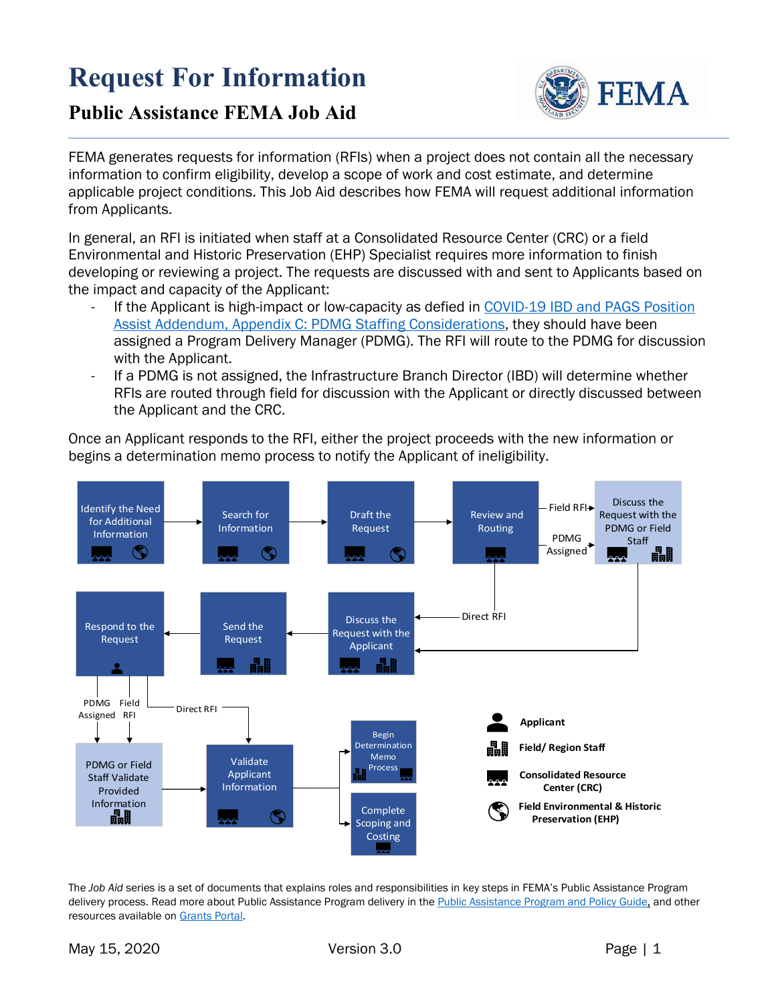# **Request For Information**



## **Public Assistance FEMA Job Aid**

FEMA generates requests for information (RFIs) when a project does not contain all the necessary information to confirm eligibility, develop a scope of work and cost estimate, and determine applicable project conditions. This Job Aid describes how FEMA will request additional information from Applicants.

In general, an RFI is initiated when staff at a Consolidated Resource Center (CRC) or a field Environmental and Historic Preservation (EHP) Specialist requires more information to finish developing or reviewing a project. The requests are discussed with and sent to Applicants based on the impact and capacity of the Applicant:

- If the Applicant is high-impact or low-capacity as defied in COVID-19 IBD and PAGS Position [Assist Addendum, Appendix C: PDMG Staffing Considerations,](https://intranet.fema.net/org/orr/recovery/pad/Coronavirus%20PA/COVID-19%20IBD-PAGS%20Position%20Assist%20Addendum%20(05.01.20).pdf) they should have been assigned a Program Delivery Manager (PDMG). The RFI will route to the PDMG for discussion with the Applicant.
- If a PDMG is not assigned, the Infrastructure Branch Director (IBD) will determine whether RFIs are routed through field for discussion with the Applicant or directly discussed between the Applicant and the CRC.

Once an Applicant responds to the RFI, either the project proceeds with the new information or begins a determination memo process to notify the Applicant of ineligibility.



The *Job Aid* series is a set of documents that explains roles and responsibilities in key steps in FEMA's Public Assistance Program delivery process. Read more about Public Assistance Program delivery in th[e Public Assistance Program and Policy Guide,](https://www.fema.gov/media-library/assets/documents/111781) and other resources available on [Grants Portal.](https://grantee.fema.gov/)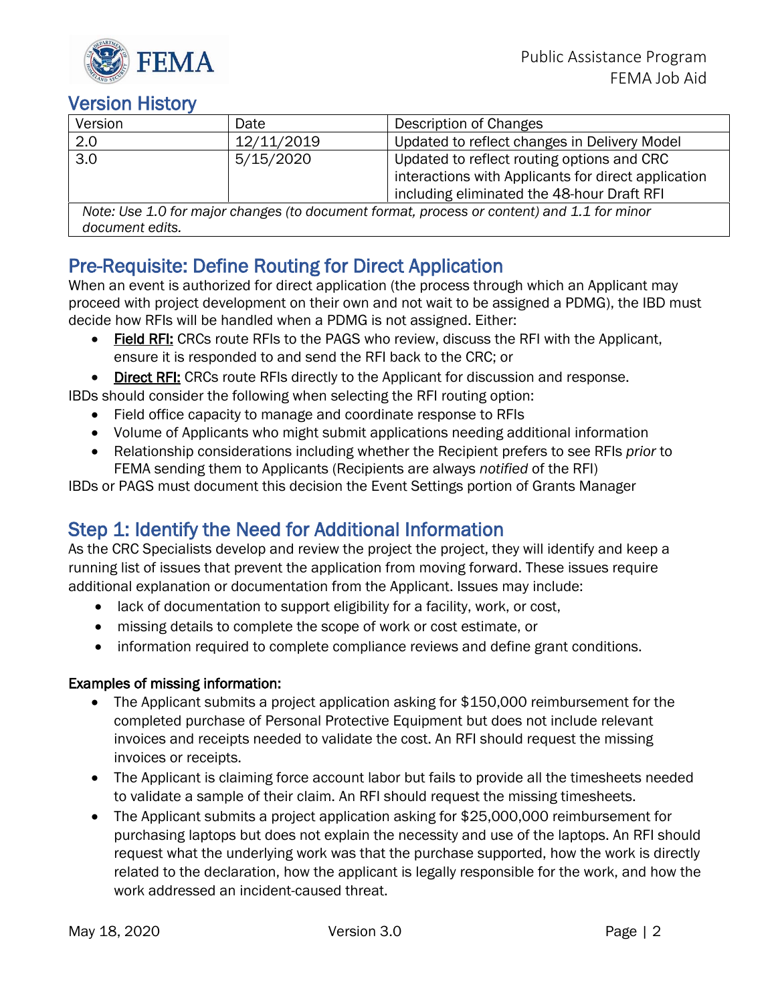

## **Version History**

| Version                                                                                       | Date       | Description of Changes                                                                                                                          |  |  |
|-----------------------------------------------------------------------------------------------|------------|-------------------------------------------------------------------------------------------------------------------------------------------------|--|--|
| 2.0                                                                                           | 12/11/2019 | Updated to reflect changes in Delivery Model                                                                                                    |  |  |
| 3.0                                                                                           | 5/15/2020  | Updated to reflect routing options and CRC<br>interactions with Applicants for direct application<br>including eliminated the 48-hour Draft RFI |  |  |
| Note: $\log 1.0$ for mains abandos (to degument format, propose as contant) and 1.1 for minor |            |                                                                                                                                                 |  |  |

*Note: Use 1.0 for major changes (to document format, process or content) and 1.1 for minor document edits.* 

Pre-Requisite: Define Routing for Direct Application<br>When an event is authorized for direct application (the process through which an Applicant may proceed with project development on their own and not wait to be assigned a PDMG), the IBD must decide how RFIs will be handled when a PDMG is not assigned. Either:

- Field RFI: CRCs route RFIs to the PAGS who review, discuss the RFI with the Applicant, ensure it is responded to and send the RFI back to the CRC; or
- Direct RFI: CRCs route RFIs directly to the Applicant for discussion and response.

IBDs should consider the following when selecting the RFI routing option:

- Field office capacity to manage and coordinate response to RFIs
- Volume of Applicants who might submit applications needing additional information
- Relationship considerations including whether the Recipient prefers to see RFIs *prior* to FEMA sending them to Applicants (Recipients are always *notified* of the RFI)

IBDs or PAGS must document this decision the Event Settings portion of Grants Manager

Step 1: Identify the Need for Additional Information<br>As the CRC Specialists develop and review the project the project, they will identify and keep a running list of issues that prevent the application from moving forward. These issues require additional explanation or documentation from the Applicant. Issues may include:

- lack of documentation to support eligibility for a facility, work, or cost,
- missing details to complete the scope of work or cost estimate, or
- information required to complete compliance reviews and define grant conditions.

## Examples of missing information:

- The Applicant submits a project application asking for \$150,000 reimbursement for the completed purchase of Personal Protective Equipment but does not include relevant invoices and receipts needed to validate the cost. An RFI should request the missing invoices or receipts.
- The Applicant is claiming force account labor but fails to provide all the timesheets needed to validate a sample of their claim. An RFI should request the missing timesheets.
- The Applicant submits a project application asking for \$25,000,000 reimbursement for purchasing laptops but does not explain the necessity and use of the laptops. An RFI should request what the underlying work was that the purchase supported, how the work is directly related to the declaration, how the applicant is legally responsible for the work, and how the work addressed an incident-caused threat.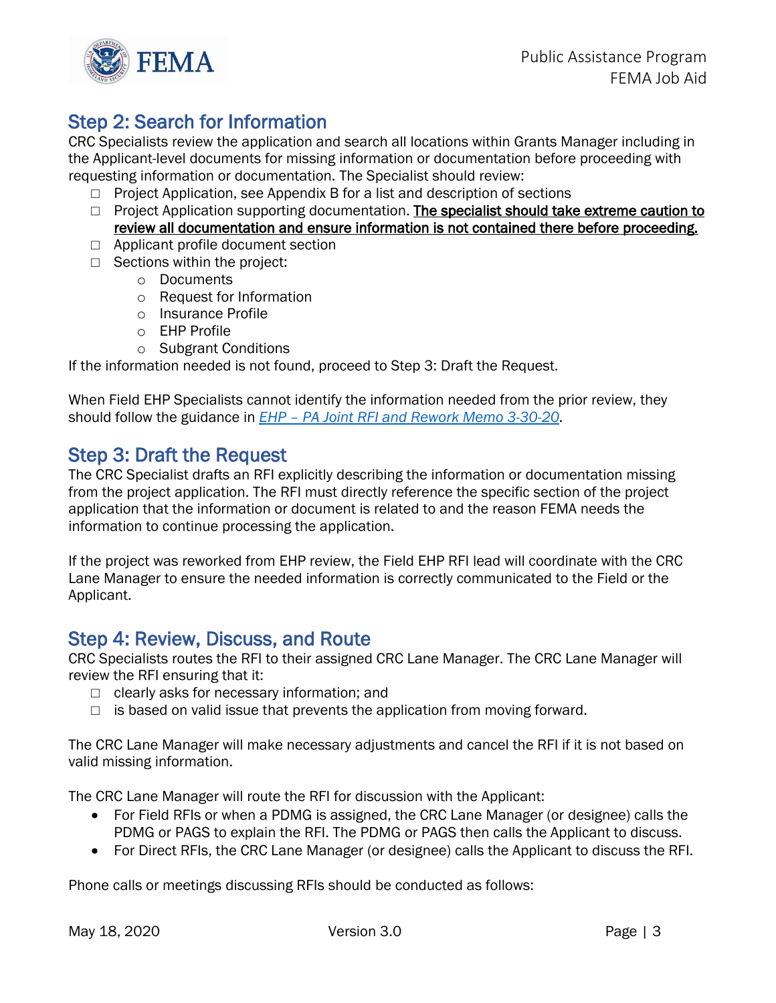

Step 2: Search for Information<br>CRC Specialists review the application and search all locations within Grants Manager including in the Applicant-level documents for missing information or documentation before proceeding with requesting information or documentation. The Specialist should review:

- $\Box$  Project Application, see Appendix B for a list and description of sections
- □ Project Application supporting documentation. The specialist should take extreme caution to review all documentation and ensure information is not contained there before proceeding.
- □ Applicant profile document section
- $\Box$  Sections within the project:
	- o Documents
	- o Request for Information
	- o Insurance Profile
	- o EHP Profile
	- o Subgrant Conditions

If the information needed is not found, proceed to Step 3: Draft the Request.

When Field EHP Specialists cannot identify the information needed from the prior review, they should follow the guidance in *EHP – [PA Joint RFI and Rework Memo](https://usfema.sharepoint.com/teams/FIMAOEHP/Cadre/Shared%20Documents/Forms/AllItems.aspx?id=%2Fteams%2FFIMAOEHP%2FCadre%2FShared%20Documents%2FPA%20New%20Program%20Delivery%20Reference%20Materials%2FConsolidated%20Resource%20Centers%2FMemorandums&viewid=f7124616%2D6998%2D48ef%2D8a21%2D9e4d9c317b8a) 3-30-20.* 

Step 3: Draft the Request<br>The CRC Specialist drafts an RFI explicitly describing the information or documentation missing from the project application. The RFI must directly reference the specific section of the project application that the information or document is related to and the reason FEMA needs the information to continue processing the application.

If the project was reworked from EHP review, the Field EHP RFI lead will coordinate with the CRC Lane Manager to ensure the needed information is correctly communicated to the Field or the Applicant.

Step 4: Review, Discuss, and Route<br>CRC Specialists routes the RFI to their assigned CRC Lane Manager. The CRC Lane Manager will review the RFI ensuring that it:

- $\Box$  clearly asks for necessary information; and
- $\Box$  is based on valid issue that prevents the application from moving forward.

The CRC Lane Manager will make necessary adjustments and cancel the RFI if it is not based on valid missing information.

The CRC Lane Manager will route the RFI for discussion with the Applicant:

- For Field RFIs or when a PDMG is assigned, the CRC Lane Manager (or designee) calls the PDMG or PAGS to explain the RFI. The PDMG or PAGS then calls the Applicant to discuss.
- For Direct RFIs, the CRC Lane Manager (or designee) calls the Applicant to discuss the RFI.

Phone calls or meetings discussing RFIs should be conducted as follows: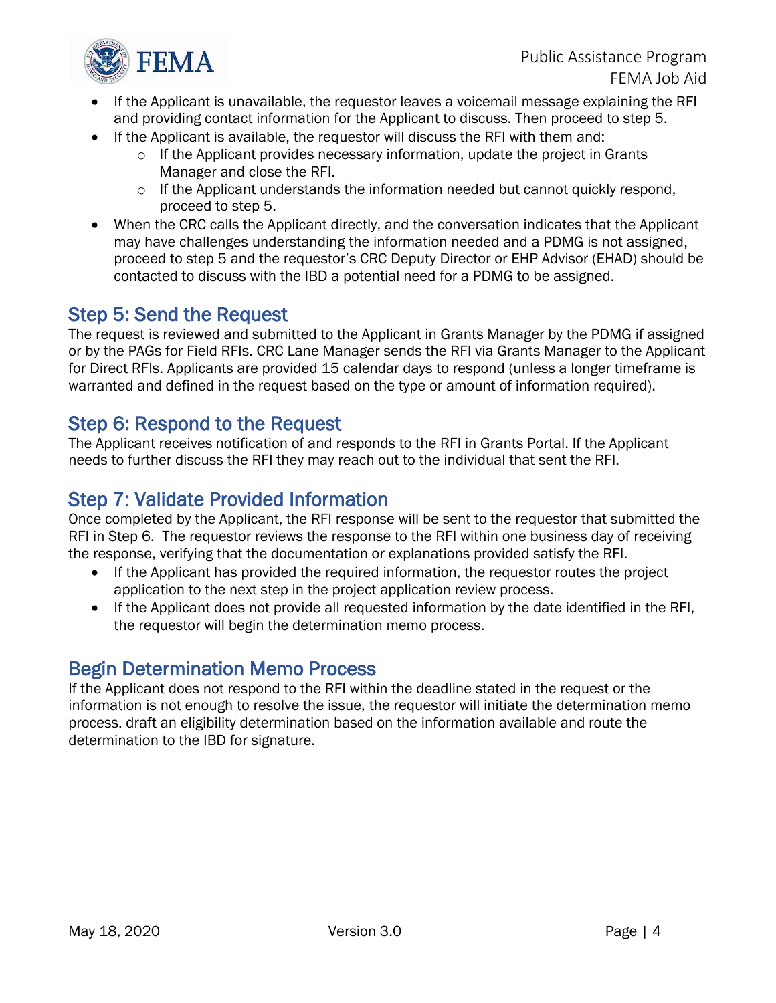

- If the Applicant is unavailable, the requestor leaves a voicemail message explaining the RFI and providing contact information for the Applicant to discuss. Then proceed to step 5.
- If the Applicant is available, the requestor will discuss the RFI with them and:
	- $\circ$  If the Applicant provides necessary information, update the project in Grants Manager and close the RFI.
	- o If the Applicant understands the information needed but cannot quickly respond, proceed to step 5.
- When the CRC calls the Applicant directly, and the conversation indicates that the Applicant may have challenges understanding the information needed and a PDMG is not assigned, proceed to step 5 and the requestor's CRC Deputy Director or EHP Advisor (EHAD) should be contacted to discuss with the IBD a potential need for a PDMG to be assigned.

Step 5: Send the Request<br>The request is reviewed and submitted to the Applicant in Grants Manager by the PDMG if assigned or by the PAGs for Field RFIs. CRC Lane Manager sends the RFI via Grants Manager to the Applicant for Direct RFIs. Applicants are provided 15 calendar days to respond (unless a longer timeframe is warranted and defined in the request based on the type or amount of information required).

Step 6: Respond to the Request<br>The Applicant receives notification of and responds to the RFI in Grants Portal. If the Applicant needs to further discuss the RFI they may reach out to the individual that sent the RFI.

Step 7: Validate Provided Information<br>Once completed by the Applicant, the RFI response will be sent to the requestor that submitted the RFI in Step 6. The requestor reviews the response to the RFI within one business day of receiving the response, verifying that the documentation or explanations provided satisfy the RFI.

- If the Applicant has provided the required information, the requestor routes the project application to the next step in the project application review process.
- If the Applicant does not provide all requested information by the date identified in the RFI, the requestor will begin the determination memo process.

Begin Determination Memo Process<br>If the Applicant does not respond to the RFI within the deadline stated in the request or the information is not enough to resolve the issue, the requestor will initiate the determination memo process. draft an eligibility determination based on the information available and route the determination to the IBD for signature.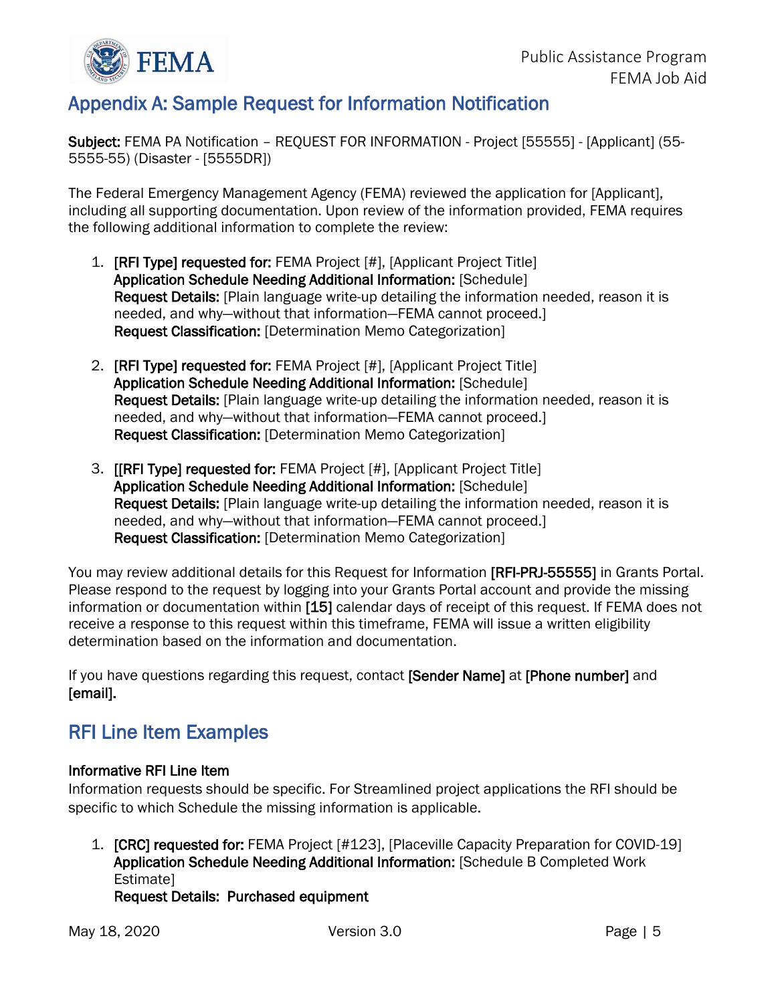

## Appendix A: Sample Request for Information Notification

Subject: FEMA PA Notification – REQUEST FOR INFORMATION - Project [55555] - [Applicant] (55- 5555-55) (Disaster - [5555DR])

The Federal Emergency Management Agency (FEMA) reviewed the application for [Applicant], including all supporting documentation. Upon review of the information provided, FEMA requires the following additional information to complete the review:

- 1. [RFI Type] requested for: FEMA Project [#], [Applicant Project Title] Application Schedule Needing Additional Information: [Schedule] Request Details: [Plain language write-up detailing the information needed, reason it is needed, and why—without that information—FEMA cannot proceed.] Request Classification: [Determination Memo Categorization]
- 2. [RFI Type] requested for: FEMA Project [#], [Applicant Project Title] Application Schedule Needing Additional Information: [Schedule] Request Details: [Plain language write-up detailing the information needed, reason it is needed, and why—without that information—FEMA cannot proceed.] Request Classification: [Determination Memo Categorization]
- 3. [[RFI Type] requested for: FEMA Project [#], [Applicant Project Title] Application Schedule Needing Additional Information: [Schedule] Request Details: [Plain language write-up detailing the information needed, reason it is needed, and why—without that information—FEMA cannot proceed.] Request Classification: [Determination Memo Categorization]

You may review additional details for this Request for Information [RFI-PRJ-55555] in Grants Portal. Please respond to the request by logging into your Grants Portal account and provide the missing information or documentation within [15] calendar days of receipt of this request. If FEMA does not receive a response to this request within this timeframe, FEMA will issue a written eligibility determination based on the information and documentation.

If you have questions regarding this request, contact [Sender Name] at [Phone number] and [email].

## RFI Line Item Examples

## Informative RFI Line Item

Information requests should be specific. For Streamlined project applications the RFI should be specific to which Schedule the missing information is applicable.

1. [CRC] requested for: FEMA Project [#123], [Placeville Capacity Preparation for COVID-19] Application Schedule Needing Additional Information: [Schedule B Completed Work Estimate]

## Request Details: Purchased equipment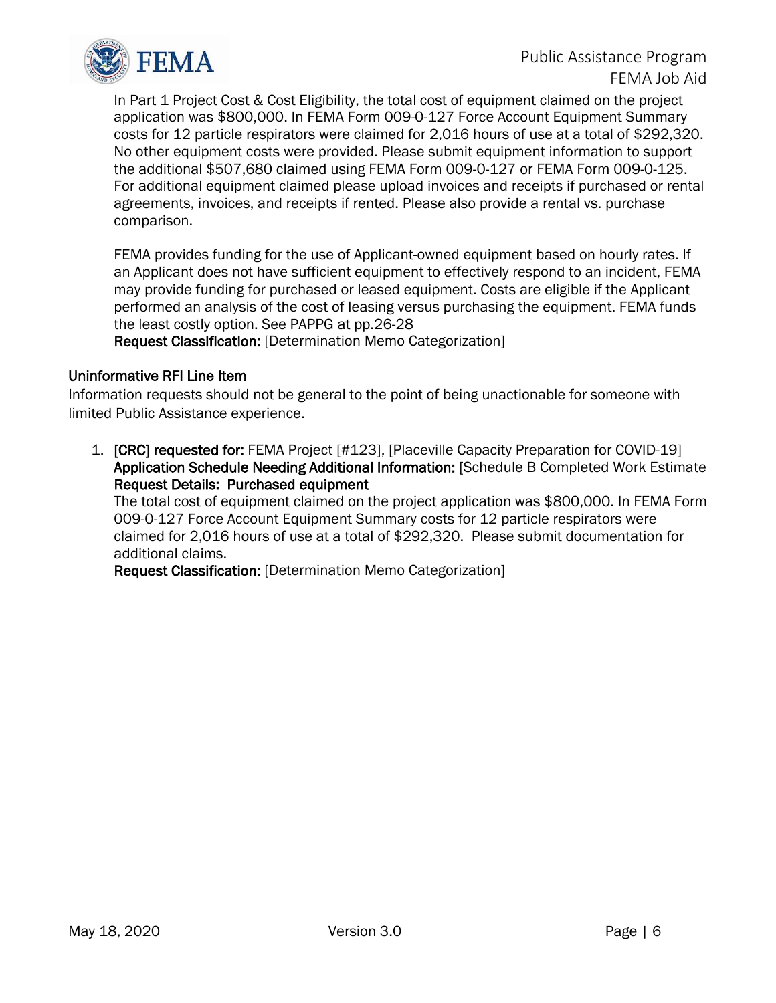

In Part 1 Project Cost & Cost Eligibility, the total cost of equipment claimed on the project application was \$800,000. In FEMA Form 009-0-127 Force Account Equipment Summary costs for 12 particle respirators were claimed for 2,016 hours of use at a total of \$292,320. No other equipment costs were provided. Please submit equipment information to support the additional \$507,680 claimed using FEMA Form 009-0-127 or FEMA Form 009-0-125. For additional equipment claimed please upload invoices and receipts if purchased or rental agreements, invoices, and receipts if rented. Please also provide a rental vs. purchase comparison.

FEMA provides funding for the use of Applicant-owned equipment based on hourly rates. If an Applicant does not have sufficient equipment to effectively respond to an incident, FEMA may provide funding for purchased or leased equipment. Costs are eligible if the Applicant performed an analysis of the cost of leasing versus purchasing the equipment. FEMA funds the least costly option. See PAPPG at pp.26-28

Request Classification: [Determination Memo Categorization]

## Uninformative RFI Line Item

Information requests should not be general to the point of being unactionable for someone with limited Public Assistance experience.

1. [CRC] requested for: FEMA Project [#123], [Placeville Capacity Preparation for COVID-19] Application Schedule Needing Additional Information: [Schedule B Completed Work Estimate Request Details: Purchased equipment

The total cost of equipment claimed on the project application was \$800,000. In FEMA Form 009-0-127 Force Account Equipment Summary costs for 12 particle respirators were claimed for 2,016 hours of use at a total of \$292,320. Please submit documentation for additional claims.

Request Classification: [Determination Memo Categorization]